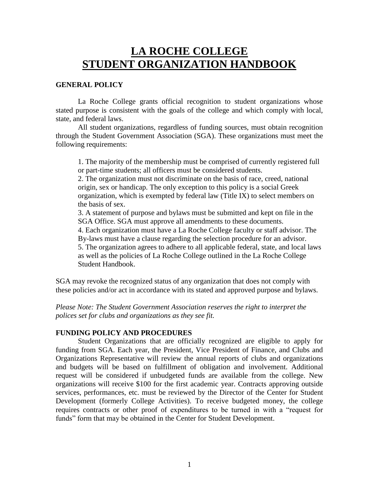# **LA ROCHE COLLEGE STUDENT ORGANIZATION HANDBOOK**

### **GENERAL POLICY**

La Roche College grants official recognition to student organizations whose stated purpose is consistent with the goals of the college and which comply with local, state, and federal laws.

All student organizations, regardless of funding sources, must obtain recognition through the Student Government Association (SGA). These organizations must meet the following requirements:

1. The majority of the membership must be comprised of currently registered full or part-time students; all officers must be considered students.

2. The organization must not discriminate on the basis of race, creed, national origin, sex or handicap. The only exception to this policy is a social Greek organization, which is exempted by federal law (Title IX) to select members on the basis of sex.

3. A statement of purpose and bylaws must be submitted and kept on file in the SGA Office. SGA must approve all amendments to these documents.

4. Each organization must have a La Roche College faculty or staff advisor. The By-laws must have a clause regarding the selection procedure for an advisor.

5. The organization agrees to adhere to all applicable federal, state, and local laws as well as the policies of La Roche College outlined in the La Roche College Student Handbook.

SGA may revoke the recognized status of any organization that does not comply with these policies and/or act in accordance with its stated and approved purpose and bylaws.

*Please Note: The Student Government Association reserves the right to interpret the polices set for clubs and organizations as they see fit.*

#### **FUNDING POLICY AND PROCEDURES**

Student Organizations that are officially recognized are eligible to apply for funding from SGA. Each year, the President, Vice President of Finance, and Clubs and Organizations Representative will review the annual reports of clubs and organizations and budgets will be based on fulfillment of obligation and involvement. Additional request will be considered if unbudgeted funds are available from the college. New organizations will receive \$100 for the first academic year. Contracts approving outside services, performances, etc. must be reviewed by the Director of the Center for Student Development (formerly College Activities). To receive budgeted money, the college requires contracts or other proof of expenditures to be turned in with a "request for funds" form that may be obtained in the Center for Student Development.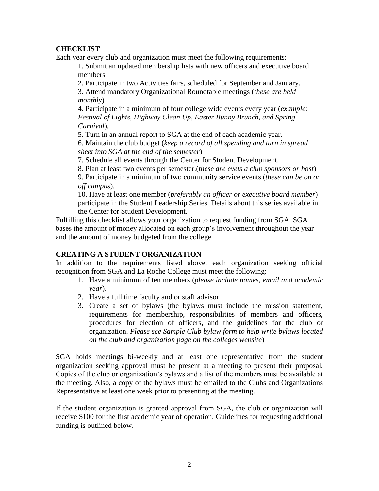# **CHECKLIST**

Each year every club and organization must meet the following requirements:

1. Submit an updated membership lists with new officers and executive board members

2. Participate in two Activities fairs, scheduled for September and January.

3. Attend mandatory Organizational Roundtable meetings (*these are held monthly*)

4. Participate in a minimum of four college wide events every year (*example: Festival of Lights, Highway Clean Up, Easter Bunny Brunch, and Spring Carnival*).

5. Turn in an annual report to SGA at the end of each academic year.

6. Maintain the club budget (*keep a record of all spending and turn in spread sheet into SGA at the end of the semester*)

7. Schedule all events through the Center for Student Development.

8. Plan at least two events per semester.(*these are evets a club sponsors or host*)

9. Participate in a minimum of two community service events (*these can be on or off campus*).

10. Have at least one member (*preferably an officer or executive board member*) participate in the Student Leadership Series. Details about this series available in the Center for Student Development.

Fulfilling this checklist allows your organization to request funding from SGA. SGA bases the amount of money allocated on each group's involvement throughout the year and the amount of money budgeted from the college.

# **CREATING A STUDENT ORGANIZATION**

In addition to the requirements listed above, each organization seeking official recognition from SGA and La Roche College must meet the following:

- 1. Have a minimum of ten members (*please include names, email and academic year*).
- 2. Have a full time faculty and or staff advisor.
- 3. Create a set of bylaws (the bylaws must include the mission statement, requirements for membership, responsibilities of members and officers, procedures for election of officers, and the guidelines for the club or organization. *Please see Sample Club bylaw form to help write bylaws located on the club and organization page on the colleges website*)

SGA holds meetings bi-weekly and at least one representative from the student organization seeking approval must be present at a meeting to present their proposal. Copies of the club or organization's bylaws and a list of the members must be available at the meeting. Also, a copy of the bylaws must be emailed to the Clubs and Organizations Representative at least one week prior to presenting at the meeting.

If the student organization is granted approval from SGA, the club or organization will receive \$100 for the first academic year of operation. Guidelines for requesting additional funding is outlined below.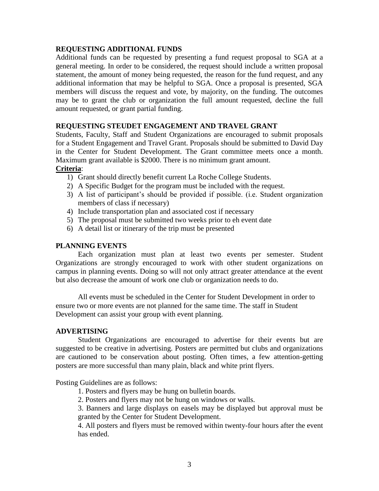### **REQUESTING ADDITIONAL FUNDS**

Additional funds can be requested by presenting a fund request proposal to SGA at a general meeting. In order to be considered, the request should include a written proposal statement, the amount of money being requested, the reason for the fund request, and any additional information that may be helpful to SGA. Once a proposal is presented, SGA members will discuss the request and vote, by majority, on the funding. The outcomes may be to grant the club or organization the full amount requested, decline the full amount requested, or grant partial funding.

### **REQUESTING STEUDET ENGAGEMENT AND TRAVEL GRANT**

Students, Faculty, Staff and Student Organizations are encouraged to submit proposals for a Student Engagement and Travel Grant. Proposals should be submitted to David Day in the Center for Student Development. The Grant committee meets once a month. Maximum grant available is \$2000. There is no minimum grant amount.

# **Criteria**:

- 1) Grant should directly benefit current La Roche College Students.
- 2) A Specific Budget for the program must be included with the request.
- 3) A list of participant's should be provided if possible. (i.e. Student organization members of class if necessary)
- 4) Include transportation plan and associated cost if necessary
- 5) The proposal must be submitted two weeks prior to eh event date
- 6) A detail list or itinerary of the trip must be presented

### **PLANNING EVENTS**

Each organization must plan at least two events per semester. Student Organizations are strongly encouraged to work with other student organizations on campus in planning events. Doing so will not only attract greater attendance at the event but also decrease the amount of work one club or organization needs to do.

All events must be scheduled in the Center for Student Development in order to ensure two or more events are not planned for the same time. The staff in Student Development can assist your group with event planning.

### **ADVERTISING**

Student Organizations are encouraged to advertise for their events but are suggested to be creative in advertising. Posters are permitted but clubs and organizations are cautioned to be conservation about posting. Often times, a few attention-getting posters are more successful than many plain, black and white print flyers.

Posting Guidelines are as follows:

1. Posters and flyers may be hung on bulletin boards.

2. Posters and flyers may not be hung on windows or walls.

3. Banners and large displays on easels may be displayed but approval must be granted by the Center for Student Development.

4. All posters and flyers must be removed within twenty-four hours after the event has ended.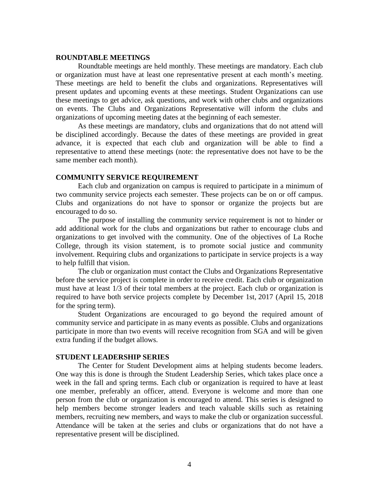#### **ROUNDTABLE MEETINGS**

Roundtable meetings are held monthly. These meetings are mandatory. Each club or organization must have at least one representative present at each month's meeting. These meetings are held to benefit the clubs and organizations. Representatives will present updates and upcoming events at these meetings. Student Organizations can use these meetings to get advice, ask questions, and work with other clubs and organizations on events. The Clubs and Organizations Representative will inform the clubs and organizations of upcoming meeting dates at the beginning of each semester.

As these meetings are mandatory, clubs and organizations that do not attend will be disciplined accordingly. Because the dates of these meetings are provided in great advance, it is expected that each club and organization will be able to find a representative to attend these meetings (note: the representative does not have to be the same member each month).

### **COMMUNITY SERVICE REQUIREMENT**

Each club and organization on campus is required to participate in a minimum of two community service projects each semester. These projects can be on or off campus. Clubs and organizations do not have to sponsor or organize the projects but are encouraged to do so.

The purpose of installing the community service requirement is not to hinder or add additional work for the clubs and organizations but rather to encourage clubs and organizations to get involved with the community. One of the objectives of La Roche College, through its vision statement, is to promote social justice and community involvement. Requiring clubs and organizations to participate in service projects is a way to help fulfill that vision.

The club or organization must contact the Clubs and Organizations Representative before the service project is complete in order to receive credit. Each club or organization must have at least 1/3 of their total members at the project. Each club or organization is required to have both service projects complete by December 1st, 2017 (April 15, 2018 for the spring term).

Student Organizations are encouraged to go beyond the required amount of community service and participate in as many events as possible. Clubs and organizations participate in more than two events will receive recognition from SGA and will be given extra funding if the budget allows.

#### **STUDENT LEADERSHIP SERIES**

The Center for Student Development aims at helping students become leaders. One way this is done is through the Student Leadership Series, which takes place once a week in the fall and spring terms. Each club or organization is required to have at least one member, preferably an officer, attend. Everyone is welcome and more than one person from the club or organization is encouraged to attend. This series is designed to help members become stronger leaders and teach valuable skills such as retaining members, recruiting new members, and ways to make the club or organization successful. Attendance will be taken at the series and clubs or organizations that do not have a representative present will be disciplined.